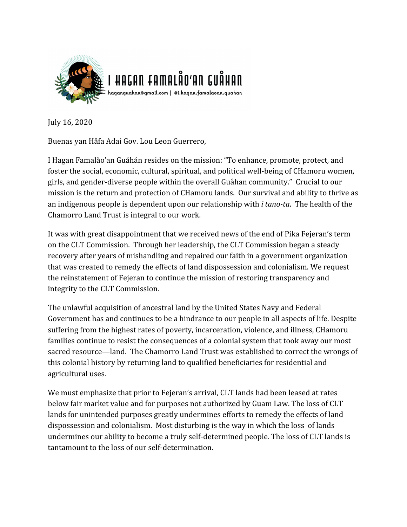

July 16, 2020

Buenas yan Håfa Adai Gov. Lou Leon Guerrero,

I Hagan Famalåo'an Guåhán resides on the mission: "To enhance, promote, protect, and foster the social, economic, cultural, spiritual, and political well-being of CHamoru women, girls, and gender-diverse people within the overall Guåhan community." Crucial to our mission is the return and protection of CHamoru lands. Our survival and ability to thrive as an indigenous people is dependent upon our relationship with *i tano-ta*. The health of the Chamorro Land Trust is integral to our work.

It was with great disappointment that we received news of the end of Pika Fejeran's term on the CLT Commission. Through her leadership, the CLT Commission began a steady recovery after years of mishandling and repaired our faith in a government organization that was created to remedy the effects of land dispossession and colonialism. We request the reinstatement of Fejeran to continue the mission of restoring transparency and integrity to the CLT Commission.

The unlawful acquisition of ancestral land by the United States Navy and Federal Government has and continues to be a hindrance to our people in all aspects of life. Despite suffering from the highest rates of poverty, incarceration, violence, and illness, CHamoru families continue to resist the consequences of a colonial system that took away our most sacred resource—land. The Chamorro Land Trust was established to correct the wrongs of this colonial history by returning land to qualified beneficiaries for residential and agricultural uses.

We must emphasize that prior to Fejeran's arrival, CLT lands had been leased at rates below fair market value and for purposes not authorized by Guam Law. The loss of CLT lands for unintended purposes greatly undermines efforts to remedy the effects of land dispossession and colonialism. Most disturbing is the way in which the loss of lands undermines our ability to become a truly self-determined people. The loss of CLT lands is tantamount to the loss of our self-determination.